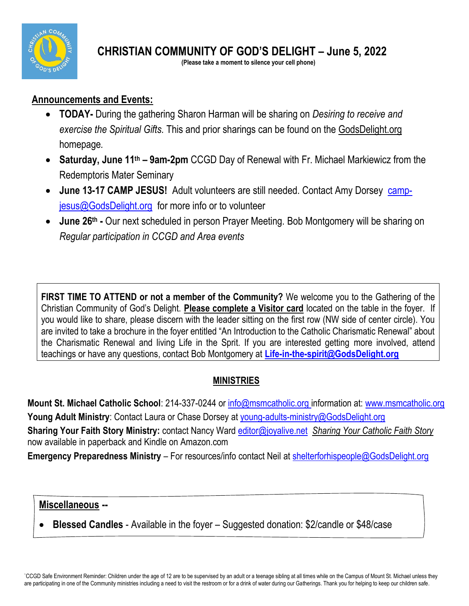

**CHRISTIAN COMMUNITY OF GOD'S DELIGHT – June 5, 2022**

 **(Please take a moment to silence your cell phone)**

### **Announcements and Events:**

- **TODAY-** During the gathering Sharon Harman will be sharing on *Desiring to receive and exercise the Spiritual Gifts.* This and prior sharings can be found on the GodsDelight.org homepage*.*
- **Saturday, June 11th – 9am-2pm** CCGD Day of Renewal with Fr. Michael Markiewicz from the Redemptoris Mater Seminary
- June 13-17 CAMP JESUS! Adult volunteers are still needed. Contact Amy Dorsey [camp](mailto:camp-jesus@GodsDelight.orgf)[jesus@GodsDelight.org](mailto:camp-jesus@GodsDelight.orgf) for more info or to volunteer
- **June 26th -** Our next scheduled in person Prayer Meeting. Bob Montgomery will be sharing on *Regular participation in CCGD and Area events*

**FIRST TIME TO ATTEND or not a member of the Community?** We welcome you to the Gathering of the Christian Community of God's Delight. **Please complete a Visitor card** located on the table in the foyer. If you would like to share, please discern with the leader sitting on the first row (NW side of center circle). You are invited to take a brochure in the foyer entitled "An Introduction to the Catholic Charismatic Renewal" about the Charismatic Renewal and living Life in the Sprit. If you are interested getting more involved, attend teachings or have any questions, contact Bob Montgomery at **[Life-in-the-spirit@GodsDelight.org](mailto:Life-in-the-spirit@GodsDelight.org)**

## **MINISTRIES**

**Mount St. Michael Catholic School**: 214-337-0244 or [info@msmcatholic.org](mailto:info@msmcatholic.org) information at: [www.msmcatholic.org](http://www.msmcatholic.org/) **Young Adult Ministry**: Contact Laura or Chase Dorsey at [young-adults-ministry@GodsDelight.org](mailto:young-adults-ministry@GodsDelight.org) **Sharing Your Faith Story Ministry:** contact Nancy Ward [editor@joyalive.net](mailto:editor@joyalive.net) *Sharing Your Catholic Faith Story* now available in paperback and Kindle on [Amazon.com](http://amazon.com/)

**Emergency Preparedness Ministry** – For resources/info contact Neil at [shelterforhispeople@GodsDelight.org](mailto:shelterforhispeople@GodsDelight.org)

#### **Miscellaneous --**

• **Blessed Candles** - Available in the foyer – Suggested donation: \$2/candle or \$48/case